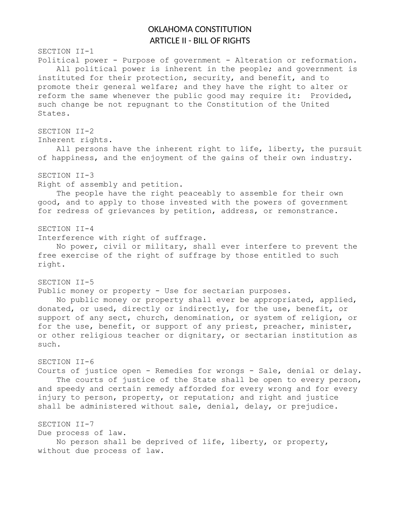# OKLAHOMA CONSTITUTION ARTICLE II - BILL OF RIGHTS

SECTION II-1 Political power - Purpose of government - Alteration or reformation. All political power is inherent in the people; and government is instituted for their protection, security, and benefit, and to promote their general welfare; and they have the right to alter or reform the same whenever the public good may require it: Provided, such change be not repugnant to the Constitution of the United States. SECTION II-2 Inherent rights. All persons have the inherent right to life, liberty, the pursuit of happiness, and the enjoyment of the gains of their own industry. SECTION II-3 Right of assembly and petition. The people have the right peaceably to assemble for their own good, and to apply to those invested with the powers of government for redress of grievances by petition, address, or remonstrance. SECTION II-4 Interference with right of suffrage. No power, civil or military, shall ever interfere to prevent the free exercise of the right of suffrage by those entitled to such right. SECTION II-5 Public money or property - Use for sectarian purposes. No public money or property shall ever be appropriated, applied, donated, or used, directly or indirectly, for the use, benefit, or support of any sect, church, denomination, or system of religion, or for the use, benefit, or support of any priest, preacher, minister, or other religious teacher or dignitary, or sectarian institution as such. SECTION II-6 Courts of justice open - Remedies for wrongs - Sale, denial or delay. The courts of justice of the State shall be open to every person, and speedy and certain remedy afforded for every wrong and for every injury to person, property, or reputation; and right and justice shall be administered without sale, denial, delay, or prejudice. SECTION II-7 Due process of law. No person shall be deprived of life, liberty, or property,

without due process of law.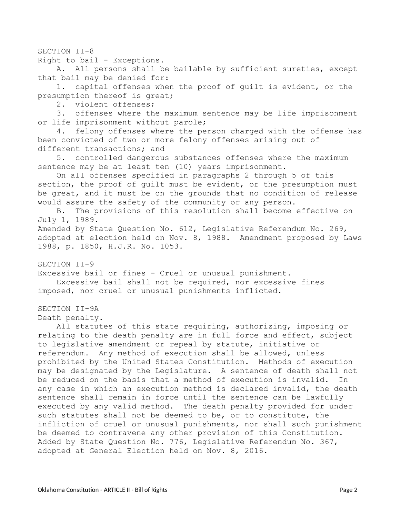SECTION II-8

Right to bail - Exceptions.

A. All persons shall be bailable by sufficient sureties, except that bail may be denied for:

1. capital offenses when the proof of guilt is evident, or the presumption thereof is great;

2. violent offenses;

3. offenses where the maximum sentence may be life imprisonment or life imprisonment without parole;

4. felony offenses where the person charged with the offense has been convicted of two or more felony offenses arising out of different transactions; and

5. controlled dangerous substances offenses where the maximum sentence may be at least ten (10) years imprisonment.

On all offenses specified in paragraphs 2 through 5 of this section, the proof of guilt must be evident, or the presumption must be great, and it must be on the grounds that no condition of release would assure the safety of the community or any person.

B. The provisions of this resolution shall become effective on July 1, 1989.

Amended by State Question No. 612, Legislative Referendum No. 269, adopted at election held on Nov. 8, 1988. Amendment proposed by Laws 1988, p. 1850, H.J.R. No. 1053.

SECTION II-9

Excessive bail or fines - Cruel or unusual punishment.

Excessive bail shall not be required, nor excessive fines imposed, nor cruel or unusual punishments inflicted.

SECTION II-9A

#### Death penalty.

All statutes of this state requiring, authorizing, imposing or relating to the death penalty are in full force and effect, subject to legislative amendment or repeal by statute, initiative or referendum. Any method of execution shall be allowed, unless prohibited by the United States Constitution. Methods of execution may be designated by the Legislature. A sentence of death shall not be reduced on the basis that a method of execution is invalid. In any case in which an execution method is declared invalid, the death sentence shall remain in force until the sentence can be lawfully executed by any valid method. The death penalty provided for under such statutes shall not be deemed to be, or to constitute, the infliction of cruel or unusual punishments, nor shall such punishment be deemed to contravene any other provision of this Constitution. Added by State Question No. 776, Legislative Referendum No. 367, adopted at General Election held on Nov. 8, 2016.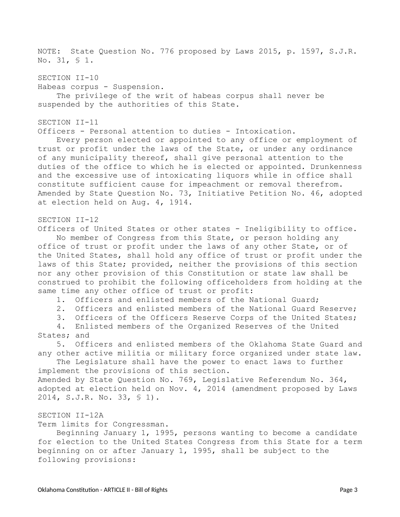NOTE: State Question No. 776 proposed by Laws 2015, p. 1597, S.J.R. No. 31, § 1.

SECTION II-10

Habeas corpus - Suspension.

The privilege of the writ of habeas corpus shall never be suspended by the authorities of this State.

SECTION II-11

Officers - Personal attention to duties - Intoxication.

Every person elected or appointed to any office or employment of trust or profit under the laws of the State, or under any ordinance of any municipality thereof, shall give personal attention to the duties of the office to which he is elected or appointed. Drunkenness and the excessive use of intoxicating liquors while in office shall constitute sufficient cause for impeachment or removal therefrom. Amended by State Question No. 73, Initiative Petition No. 46, adopted at election held on Aug. 4, 1914.

# SECTION II-12

Officers of United States or other states - Ineligibility to office.

No member of Congress from this State, or person holding any office of trust or profit under the laws of any other State, or of the United States, shall hold any office of trust or profit under the laws of this State; provided, neither the provisions of this section nor any other provision of this Constitution or state law shall be construed to prohibit the following officeholders from holding at the same time any other office of trust or profit:

- 1. Officers and enlisted members of the National Guard;
- 2. Officers and enlisted members of the National Guard Reserve;
- 3. Officers of the Officers Reserve Corps of the United States;

4. Enlisted members of the Organized Reserves of the United States; and

5. Officers and enlisted members of the Oklahoma State Guard and any other active militia or military force organized under state law.

The Legislature shall have the power to enact laws to further implement the provisions of this section. Amended by State Question No. 769, Legislative Referendum No. 364, adopted at election held on Nov. 4, 2014 (amendment proposed by Laws 2014, S.J.R. No. 33, § 1).

#### SECTION II-12A

Term limits for Congressman.

Beginning January 1, 1995, persons wanting to become a candidate for election to the United States Congress from this State for a term beginning on or after January 1, 1995, shall be subject to the following provisions: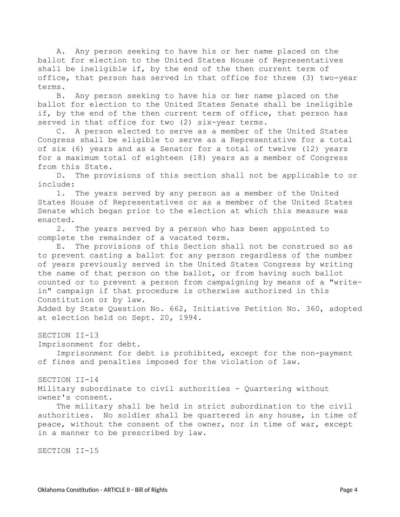A. Any person seeking to have his or her name placed on the ballot for election to the United States House of Representatives shall be ineligible if, by the end of the then current term of office, that person has served in that office for three (3) two-year terms.

B. Any person seeking to have his or her name placed on the ballot for election to the United States Senate shall be ineligible if, by the end of the then current term of office, that person has served in that office for two (2) six-year terms.

C. A person elected to serve as a member of the United States Congress shall be eligible to serve as a Representative for a total of six (6) years and as a Senator for a total of twelve (12) years for a maximum total of eighteen (18) years as a member of Congress from this State.

D. The provisions of this section shall not be applicable to or include:

1. The years served by any person as a member of the United States House of Representatives or as a member of the United States Senate which began prior to the election at which this measure was enacted.

2. The years served by a person who has been appointed to complete the remainder of a vacated term.

E. The provisions of this Section shall not be construed so as to prevent casting a ballot for any person regardless of the number of years previously served in the United States Congress by writing the name of that person on the ballot, or from having such ballot counted or to prevent a person from campaigning by means of a "writein" campaign if that procedure is otherwise authorized in this Constitution or by law.

Added by State Question No. 662, Initiative Petition No. 360, adopted at election held on Sept. 20, 1994.

SECTION II-13

Imprisonment for debt.

Imprisonment for debt is prohibited, except for the non-payment of fines and penalties imposed for the violation of law.

SECTION II-14

Military subordinate to civil authorities - Quartering without owner's consent.

The military shall be held in strict subordination to the civil authorities. No soldier shall be quartered in any house, in time of peace, without the consent of the owner, nor in time of war, except in a manner to be prescribed by law.

SECTION II-15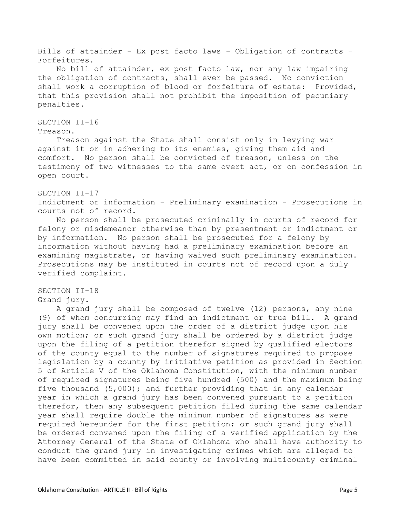Bills of attainder - Ex post facto laws - Obligation of contracts – Forfeitures.

No bill of attainder, ex post facto law, nor any law impairing the obligation of contracts, shall ever be passed. No conviction shall work a corruption of blood or forfeiture of estate: Provided, that this provision shall not prohibit the imposition of pecuniary penalties.

## SECTION II-16

#### Treason.

Treason against the State shall consist only in levying war against it or in adhering to its enemies, giving them aid and comfort. No person shall be convicted of treason, unless on the testimony of two witnesses to the same overt act, or on confession in open court.

#### SECTION II-17

Indictment or information - Preliminary examination - Prosecutions in courts not of record.

No person shall be prosecuted criminally in courts of record for felony or misdemeanor otherwise than by presentment or indictment or by information. No person shall be prosecuted for a felony by information without having had a preliminary examination before an examining magistrate, or having waived such preliminary examination. Prosecutions may be instituted in courts not of record upon a duly verified complaint.

### SECTION II-18

### Grand jury.

A grand jury shall be composed of twelve (12) persons, any nine (9) of whom concurring may find an indictment or true bill. A grand jury shall be convened upon the order of a district judge upon his own motion; or such grand jury shall be ordered by a district judge upon the filing of a petition therefor signed by qualified electors of the county equal to the number of signatures required to propose legislation by a county by initiative petition as provided in Section 5 of Article V of the Oklahoma Constitution, with the minimum number of required signatures being five hundred (500) and the maximum being five thousand (5,000); and further providing that in any calendar year in which a grand jury has been convened pursuant to a petition therefor, then any subsequent petition filed during the same calendar year shall require double the minimum number of signatures as were required hereunder for the first petition; or such grand jury shall be ordered convened upon the filing of a verified application by the Attorney General of the State of Oklahoma who shall have authority to conduct the grand jury in investigating crimes which are alleged to have been committed in said county or involving multicounty criminal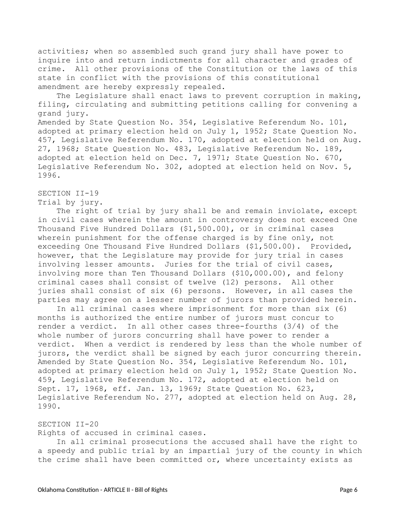activities; when so assembled such grand jury shall have power to inquire into and return indictments for all character and grades of crime. All other provisions of the Constitution or the laws of this state in conflict with the provisions of this constitutional amendment are hereby expressly repealed.

The Legislature shall enact laws to prevent corruption in making, filing, circulating and submitting petitions calling for convening a grand jury.

Amended by State Question No. 354, Legislative Referendum No. 101, adopted at primary election held on July 1, 1952; State Question No. 457, Legislative Referendum No. 170, adopted at election held on Aug. 27, 1968; State Question No. 483, Legislative Referendum No. 189, adopted at election held on Dec. 7, 1971; State Question No. 670, Legislative Referendum No. 302, adopted at election held on Nov. 5, 1996.

# SECTION II-19

# Trial by jury.

The right of trial by jury shall be and remain inviolate, except in civil cases wherein the amount in controversy does not exceed One Thousand Five Hundred Dollars (\$1,500.00), or in criminal cases wherein punishment for the offense charged is by fine only, not exceeding One Thousand Five Hundred Dollars (\$1,500.00). Provided, however, that the Legislature may provide for jury trial in cases involving lesser amounts. Juries for the trial of civil cases, involving more than Ten Thousand Dollars (\$10,000.00), and felony criminal cases shall consist of twelve (12) persons. All other juries shall consist of six (6) persons. However, in all cases the parties may agree on a lesser number of jurors than provided herein.

In all criminal cases where imprisonment for more than six (6) months is authorized the entire number of jurors must concur to render a verdict. In all other cases three-fourths (3/4) of the whole number of jurors concurring shall have power to render a verdict. When a verdict is rendered by less than the whole number of jurors, the verdict shall be signed by each juror concurring therein. Amended by State Question No. 354, Legislative Referendum No. 101, adopted at primary election held on July 1, 1952; State Question No. 459, Legislative Referendum No. 172, adopted at election held on Sept. 17, 1968, eff. Jan. 13, 1969; State Question No. 623, Legislative Referendum No. 277, adopted at election held on Aug. 28, 1990.

# SECTION II-20

Rights of accused in criminal cases.

In all criminal prosecutions the accused shall have the right to a speedy and public trial by an impartial jury of the county in which the crime shall have been committed or, where uncertainty exists as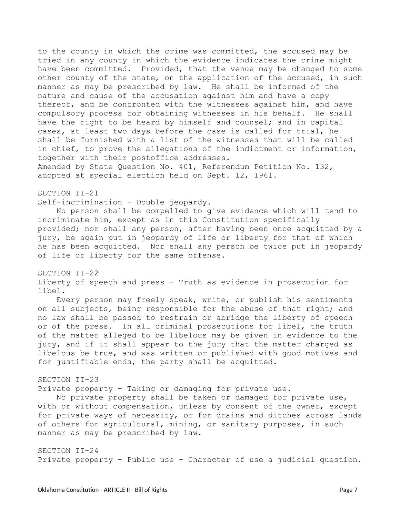to the county in which the crime was committed, the accused may be tried in any county in which the evidence indicates the crime might have been committed. Provided, that the venue may be changed to some other county of the state, on the application of the accused, in such manner as may be prescribed by law. He shall be informed of the nature and cause of the accusation against him and have a copy thereof, and be confronted with the witnesses against him, and have compulsory process for obtaining witnesses in his behalf. He shall have the right to be heard by himself and counsel; and in capital cases, at least two days before the case is called for trial, he shall be furnished with a list of the witnesses that will be called in chief, to prove the allegations of the indictment or information, together with their postoffice addresses. Amended by State Question No. 401, Referendum Petition No. 132, adopted at special election held on Sept. 12, 1961.

SECTION II-21

Self-incrimination - Double jeopardy.

No person shall be compelled to give evidence which will tend to incriminate him, except as in this Constitution specifically provided; nor shall any person, after having been once acquitted by a jury, be again put in jeopardy of life or liberty for that of which he has been acquitted. Nor shall any person be twice put in jeopardy of life or liberty for the same offense.

SECTION II-22 Liberty of speech and press - Truth as evidence in prosecution for libel.

Every person may freely speak, write, or publish his sentiments on all subjects, being responsible for the abuse of that right; and no law shall be passed to restrain or abridge the liberty of speech or of the press. In all criminal prosecutions for libel, the truth of the matter alleged to be libelous may be given in evidence to the jury, and if it shall appear to the jury that the matter charged as libelous be true, and was written or published with good motives and for justifiable ends, the party shall be acquitted.

SECTION II-23 Private property - Taking or damaging for private use.

No private property shall be taken or damaged for private use, with or without compensation, unless by consent of the owner, except for private ways of necessity, or for drains and ditches across lands of others for agricultural, mining, or sanitary purposes, in such manner as may be prescribed by law.

SECTION II-24 Private property - Public use - Character of use a judicial question.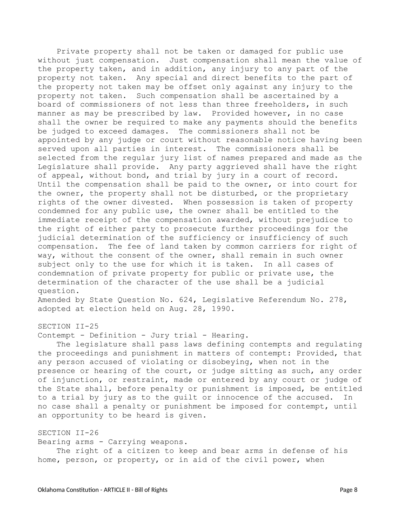Private property shall not be taken or damaged for public use without just compensation. Just compensation shall mean the value of the property taken, and in addition, any injury to any part of the property not taken. Any special and direct benefits to the part of the property not taken may be offset only against any injury to the property not taken. Such compensation shall be ascertained by a board of commissioners of not less than three freeholders, in such manner as may be prescribed by law. Provided however, in no case shall the owner be required to make any payments should the benefits be judged to exceed damages. The commissioners shall not be appointed by any judge or court without reasonable notice having been served upon all parties in interest. The commissioners shall be selected from the regular jury list of names prepared and made as the Legislature shall provide. Any party aggrieved shall have the right of appeal, without bond, and trial by jury in a court of record. Until the compensation shall be paid to the owner, or into court for the owner, the property shall not be disturbed, or the proprietary rights of the owner divested. When possession is taken of property condemned for any public use, the owner shall be entitled to the immediate receipt of the compensation awarded, without prejudice to the right of either party to prosecute further proceedings for the judicial determination of the sufficiency or insufficiency of such compensation. The fee of land taken by common carriers for right of way, without the consent of the owner, shall remain in such owner subject only to the use for which it is taken. In all cases of condemnation of private property for public or private use, the determination of the character of the use shall be a judicial question.

Amended by State Question No. 624, Legislative Referendum No. 278, adopted at election held on Aug. 28, 1990.

#### SECTION II-25

Contempt - Definition - Jury trial - Hearing.

The legislature shall pass laws defining contempts and regulating the proceedings and punishment in matters of contempt: Provided, that any person accused of violating or disobeying, when not in the presence or hearing of the court, or judge sitting as such, any order of injunction, or restraint, made or entered by any court or judge of the State shall, before penalty or punishment is imposed, be entitled to a trial by jury as to the guilt or innocence of the accused. In no case shall a penalty or punishment be imposed for contempt, until an opportunity to be heard is given.

## SECTION II-26

Bearing arms - Carrying weapons.

The right of a citizen to keep and bear arms in defense of his home, person, or property, or in aid of the civil power, when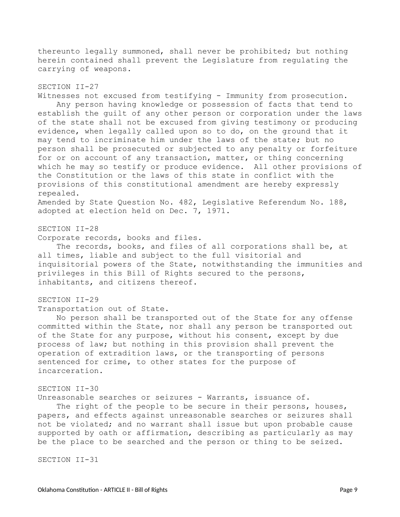thereunto legally summoned, shall never be prohibited; but nothing herein contained shall prevent the Legislature from regulating the carrying of weapons.

# SECTION II-27

Witnesses not excused from testifying - Immunity from prosecution. Any person having knowledge or possession of facts that tend to establish the guilt of any other person or corporation under the laws of the state shall not be excused from giving testimony or producing evidence, when legally called upon so to do, on the ground that it may tend to incriminate him under the laws of the state; but no person shall be prosecuted or subjected to any penalty or forfeiture for or on account of any transaction, matter, or thing concerning which he may so testify or produce evidence. All other provisions of the Constitution or the laws of this state in conflict with the provisions of this constitutional amendment are hereby expressly repealed.

Amended by State Question No. 482, Legislative Referendum No. 188, adopted at election held on Dec. 7, 1971.

SECTION II-28

Corporate records, books and files.

The records, books, and files of all corporations shall be, at all times, liable and subject to the full visitorial and inquisitorial powers of the State, notwithstanding the immunities and privileges in this Bill of Rights secured to the persons, inhabitants, and citizens thereof.

# SECTION II-29

Transportation out of State.

No person shall be transported out of the State for any offense committed within the State, nor shall any person be transported out of the State for any purpose, without his consent, except by due process of law; but nothing in this provision shall prevent the operation of extradition laws, or the transporting of persons sentenced for crime, to other states for the purpose of incarceration.

# SECTION II-30

Unreasonable searches or seizures - Warrants, issuance of.

The right of the people to be secure in their persons, houses, papers, and effects against unreasonable searches or seizures shall not be violated; and no warrant shall issue but upon probable cause supported by oath or affirmation, describing as particularly as may be the place to be searched and the person or thing to be seized.

SECTION II-31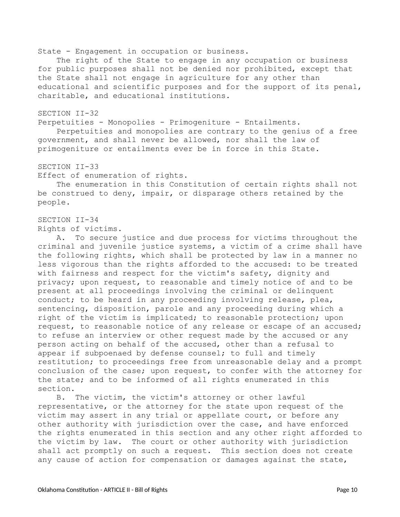State - Engagement in occupation or business.

The right of the State to engage in any occupation or business for public purposes shall not be denied nor prohibited, except that the State shall not engage in agriculture for any other than educational and scientific purposes and for the support of its penal, charitable, and educational institutions.

#### SECTION II-32

Perpetuities - Monopolies - Primogeniture - Entailments.

Perpetuities and monopolies are contrary to the genius of a free government, and shall never be allowed, nor shall the law of primogeniture or entailments ever be in force in this State.

#### SECTION II-33

Effect of enumeration of rights.

The enumeration in this Constitution of certain rights shall not be construed to deny, impair, or disparage others retained by the people.

# SECTION II-34

Rights of victims.

A. To secure justice and due process for victims throughout the criminal and juvenile justice systems, a victim of a crime shall have the following rights, which shall be protected by law in a manner no less vigorous than the rights afforded to the accused: to be treated with fairness and respect for the victim's safety, dignity and privacy; upon request, to reasonable and timely notice of and to be present at all proceedings involving the criminal or delinquent conduct; to be heard in any proceeding involving release, plea, sentencing, disposition, parole and any proceeding during which a right of the victim is implicated; to reasonable protection; upon request, to reasonable notice of any release or escape of an accused; to refuse an interview or other request made by the accused or any person acting on behalf of the accused, other than a refusal to appear if subpoenaed by defense counsel; to full and timely restitution; to proceedings free from unreasonable delay and a prompt conclusion of the case; upon request, to confer with the attorney for the state; and to be informed of all rights enumerated in this section.

B. The victim, the victim's attorney or other lawful representative, or the attorney for the state upon request of the victim may assert in any trial or appellate court, or before any other authority with jurisdiction over the case, and have enforced the rights enumerated in this section and any other right afforded to the victim by law. The court or other authority with jurisdiction shall act promptly on such a request. This section does not create any cause of action for compensation or damages against the state,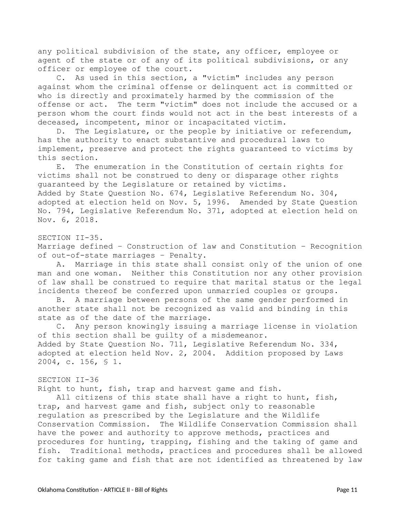any political subdivision of the state, any officer, employee or agent of the state or of any of its political subdivisions, or any officer or employee of the court.

C. As used in this section, a "victim" includes any person against whom the criminal offense or delinquent act is committed or who is directly and proximately harmed by the commission of the offense or act. The term "victim" does not include the accused or a person whom the court finds would not act in the best interests of a deceased, incompetent, minor or incapacitated victim.

D. The Legislature, or the people by initiative or referendum, has the authority to enact substantive and procedural laws to implement, preserve and protect the rights guaranteed to victims by this section.

E. The enumeration in the Constitution of certain rights for victims shall not be construed to deny or disparage other rights guaranteed by the Legislature or retained by victims. Added by State Question No. 674, Legislative Referendum No. 304, adopted at election held on Nov. 5, 1996. Amended by State Question No. 794, Legislative Referendum No. 371, adopted at election held on Nov. 6, 2018.

## SECTION II-35.

Marriage defined – Construction of law and Constitution – Recognition of out-of-state marriages – Penalty.

A. Marriage in this state shall consist only of the union of one man and one woman. Neither this Constitution nor any other provision of law shall be construed to require that marital status or the legal incidents thereof be conferred upon unmarried couples or groups.

B. A marriage between persons of the same gender performed in another state shall not be recognized as valid and binding in this state as of the date of the marriage.

C. Any person knowingly issuing a marriage license in violation of this section shall be guilty of a misdemeanor. Added by State Question No. 711, Legislative Referendum No. 334, adopted at election held Nov. 2, 2004. Addition proposed by Laws 2004, c. 156, § 1.

SECTION II-36

Right to hunt, fish, trap and harvest game and fish.

All citizens of this state shall have a right to hunt, fish, trap, and harvest game and fish, subject only to reasonable regulation as prescribed by the Legislature and the Wildlife Conservation Commission. The Wildlife Conservation Commission shall have the power and authority to approve methods, practices and procedures for hunting, trapping, fishing and the taking of game and fish. Traditional methods, practices and procedures shall be allowed for taking game and fish that are not identified as threatened by law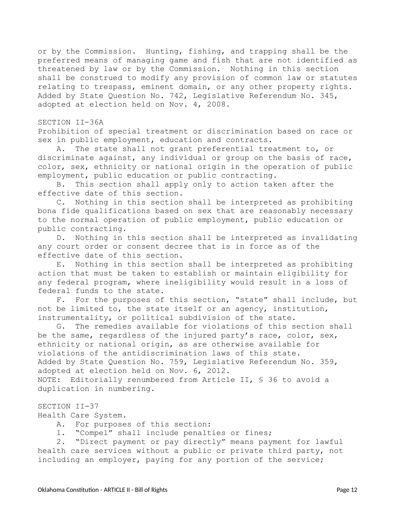or by the Commission. Hunting, fishing, and trapping shall be the preferred means of managing game and fish that are not identified as threatened by law or by the Commission. Nothing in this section shall be construed to modify any provision of common law or statutes relating to trespass, eminent domain, or any other property rights. Added by State Question No. 742, Legislative Referendum No. 345, adopted at election held on Nov. 4, 2008.

## SECTION II-36A

Prohibition of special treatment or discrimination based on race or sex in public employment, education and contracts.

A. The state shall not grant preferential treatment to, or discriminate against, any individual or group on the basis of race, color, sex, ethnicity or national origin in the operation of public employment, public education or public contracting.

B. This section shall apply only to action taken after the effective date of this section.

C. Nothing in this section shall be interpreted as prohibiting bona fide qualifications based on sex that are reasonably necessary to the normal operation of public employment, public education or public contracting.

D. Nothing in this section shall be interpreted as invalidating any court order or consent decree that is in force as of the effective date of this section.

E. Nothing in this section shall be interpreted as prohibiting action that must be taken to establish or maintain eligibility for any federal program, where ineligibility would result in a loss of federal funds to the state.

F. For the purposes of this section, "state" shall include, but not be limited to, the state itself or an agency, institution, instrumentality, or political subdivision of the state.

G. The remedies available for violations of this section shall be the same, regardless of the injured party's race, color, sex, ethnicity or national origin, as are otherwise available for violations of the antidiscrimination laws of this state. Added by State Question No. 759, Legislative Referendum No. 359, adopted at election held on Nov. 6, 2012. NOTE: Editorially renumbered from Article II, § 36 to avoid a duplication in numbering.

# SECTION II-37

Health Care System.

A. For purposes of this section:

1. "Compel" shall include penalties or fines;

2. "Direct payment or pay directly" means payment for lawful health care services without a public or private third party, not including an employer, paying for any portion of the service;